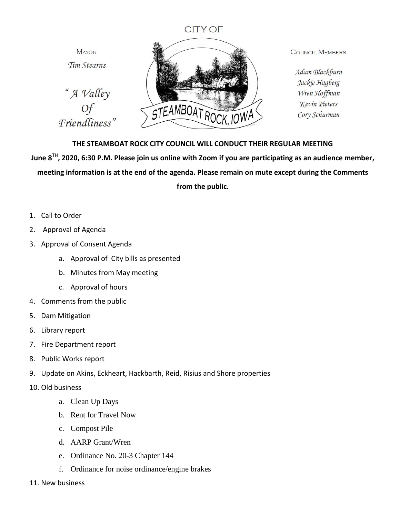## **CITY OF**

**MAYOR** Tim Stearns

"A Valley Of Friendliness"



**COUNCIL MEMBERS** 

Adam Blackburn Jackie Hagberg Wren Hoffman Kevin Pieters Cory Schurman

## **THE STEAMBOAT ROCK CITY COUNCIL WILL CONDUCT THEIR REGULAR MEETING**

**June 8TH, 2020, 6:30 P.M. Please join us online with Zoom if you are participating as an audience member, meeting information is at the end of the agenda. Please remain on mute except during the Comments** 

**from the public.**

- 1. Call to Order
- 2. Approval of Agenda
- 3. Approval of Consent Agenda
	- a. Approval of City bills as presented
	- b. Minutes from May meeting
	- c. Approval of hours
- 4. Comments from the public
- 5. Dam Mitigation
- 6. Library report
- 7. Fire Department report
- 8. Public Works report
- 9. Update on Akins, Eckheart, Hackbarth, Reid, Risius and Shore properties
- 10. Old business
	- a. Clean Up Days
	- b. Rent for Travel Now
	- c. Compost Pile
	- d. AARP Grant/Wren
	- e. Ordinance No. 20-3 Chapter 144
	- f. Ordinance for noise ordinance/engine brakes
- 11. New business